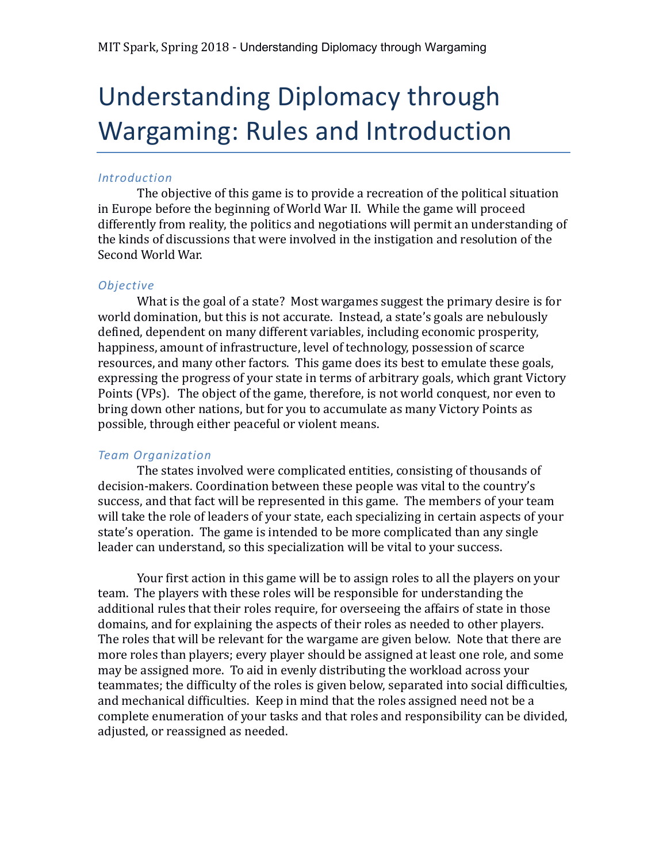# Understanding Diplomacy through Wargaming: Rules and Introduction

#### *Introduction*

The objective of this game is to provide a recreation of the political situation in Europe before the beginning of World War II. While the game will proceed differently from reality, the politics and negotiations will permit an understanding of the kinds of discussions that were involved in the instigation and resolution of the Second World War.

#### *Objective*

What is the goal of a state? Most wargames suggest the primary desire is for world domination, but this is not accurate. Instead, a state's goals are nebulously defined, dependent on many different variables, including economic prosperity, happiness, amount of infrastructure, level of technology, possession of scarce resources, and many other factors. This game does its best to emulate these goals, expressing the progress of your state in terms of arbitrary goals, which grant Victory Points (VPs). The object of the game, therefore, is not world conquest, nor even to bring down other nations, but for you to accumulate as many Victory Points as possible, through either peaceful or violent means.

### *Team Organization*

The states involved were complicated entities, consisting of thousands of decision-makers. Coordination between these people was vital to the country's success, and that fact will be represented in this game. The members of your team will take the role of leaders of your state, each specializing in certain aspects of your state's operation. The game is intended to be more complicated than any single leader can understand, so this specialization will be vital to your success.

Your first action in this game will be to assign roles to all the players on your team. The players with these roles will be responsible for understanding the additional rules that their roles require, for overseeing the affairs of state in those domains, and for explaining the aspects of their roles as needed to other players. The roles that will be relevant for the wargame are given below. Note that there are more roles than players; every player should be assigned at least one role, and some may be assigned more. To aid in evenly distributing the workload across your teammates; the difficulty of the roles is given below, separated into social difficulties, and mechanical difficulties. Keep in mind that the roles assigned need not be a complete enumeration of your tasks and that roles and responsibility can be divided, adjusted, or reassigned as needed.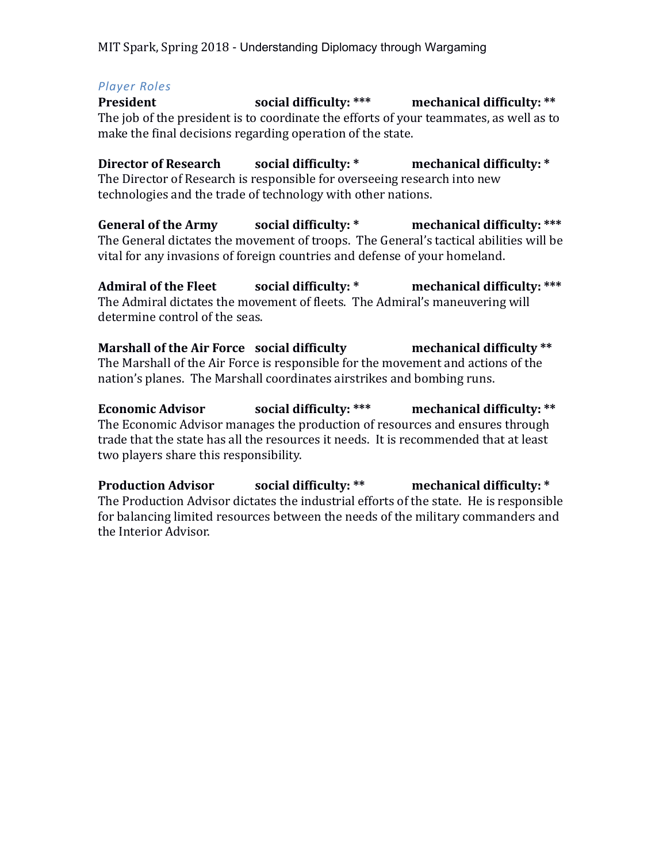MIT Spark, Spring 2018 - Understanding Diplomacy through Wargaming

# *Player Roles* **President** social difficulty: \*\*\* **mechanical difficulty: \*\*** The job of the president is to coordinate the efforts of your teammates, as well as to make the final decisions regarding operation of the state.

**Director of Research social difficulty: \* mechanical difficulty: \*** The Director of Research is responsible for overseeing research into new technologies and the trade of technology with other nations.

**General of the Army social difficulty: \* mechanical difficulty: \*\*\*** The General dictates the movement of troops. The General's tactical abilities will be vital for any invasions of foreign countries and defense of your homeland.

**Admiral of the Fleet social difficulty: \* mechanical difficulty: \*\*\*** The Admiral dictates the movement of fleets. The Admiral's maneuvering will determine control of the seas.

**Marshall of the Air Force social difficulty mechanical difficulty \*\*** The Marshall of the Air Force is responsible for the movement and actions of the nation's planes. The Marshall coordinates airstrikes and bombing runs.

**Economic Advisor social difficulty: \*\*\* mechanical difficulty: \*\*** The Economic Advisor manages the production of resources and ensures through trade that the state has all the resources it needs. It is recommended that at least two players share this responsibility.

**Production Advisor social difficulty: \*\* mechanical difficulty: \*** The Production Advisor dictates the industrial efforts of the state. He is responsible for balancing limited resources between the needs of the military commanders and the Interior Advisor.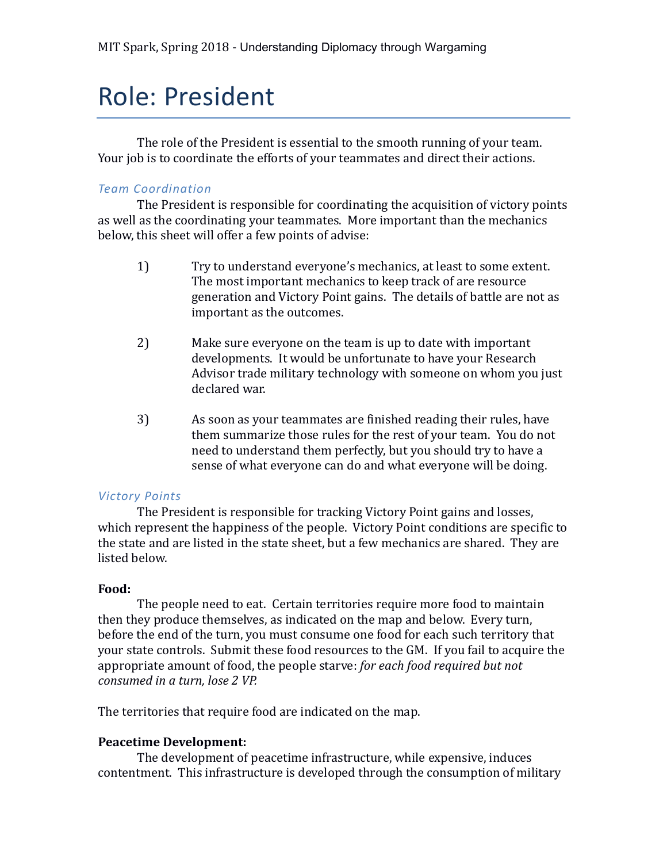# Role: President

The role of the President is essential to the smooth running of your team. Your job is to coordinate the efforts of your teammates and direct their actions.

# *Team Coordination*

The President is responsible for coordinating the acquisition of victory points as well as the coordinating your teammates. More important than the mechanics below, this sheet will offer a few points of advise:

- 1) Try to understand everyone's mechanics, at least to some extent. The most important mechanics to keep track of are resource generation and Victory Point gains. The details of battle are not as important as the outcomes.
- 2) Make sure everyone on the team is up to date with important developments. It would be unfortunate to have your Research Advisor trade military technology with someone on whom you just declared war.
- 3) As soon as your teammates are finished reading their rules, have them summarize those rules for the rest of your team. You do not need to understand them perfectly, but you should try to have a sense of what everyone can do and what everyone will be doing.

### *Victory Points*

The President is responsible for tracking Victory Point gains and losses, which represent the happiness of the people. Victory Point conditions are specific to the state and are listed in the state sheet, but a few mechanics are shared. They are listed below.

### **Food:**

The people need to eat. Certain territories require more food to maintain then they produce themselves, as indicated on the map and below. Every turn, before the end of the turn, you must consume one food for each such territory that your state controls. Submit these food resources to the GM. If you fail to acquire the appropriate amount of food, the people starve: *for each food required but not consumed in a turn, lose 2 VP.*

The territories that require food are indicated on the map.

### **Peacetime Development:**

The development of peacetime infrastructure, while expensive, induces contentment. This infrastructure is developed through the consumption of military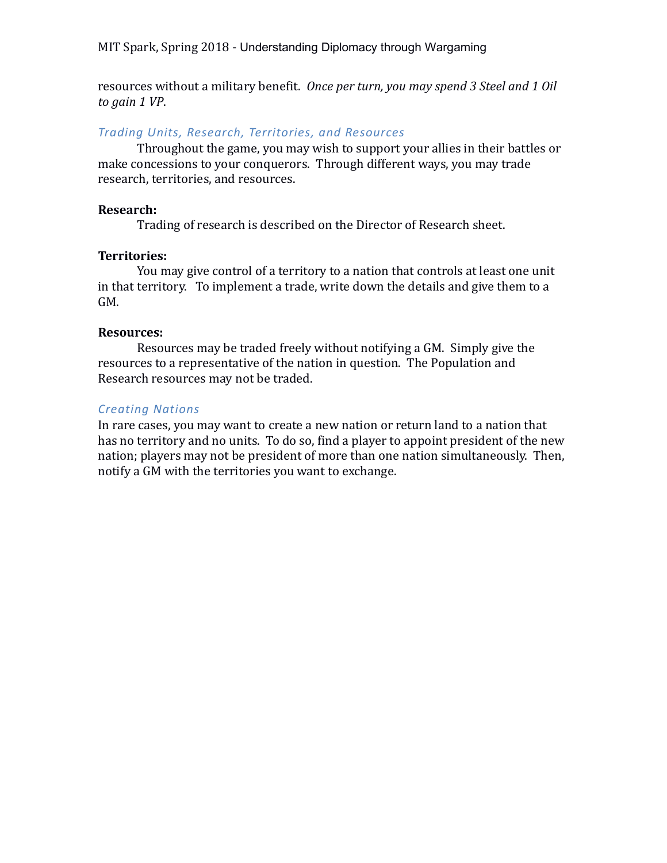resources without a military benefit. *Once per turn, you may spend 3 Steel and 1 Oil to gain 1 VP*.

# *Trading Units, Research, Territories, and Resources*

Throughout the game, you may wish to support your allies in their battles or make concessions to your conquerors. Through different ways, you may trade research, territories, and resources.

## **Research:**

Trading of research is described on the Director of Research sheet.

# **Territories:**

You may give control of a territory to a nation that controls at least one unit in that territory. To implement a trade, write down the details and give them to a GM.

# **Resources:**

Resources may be traded freely without notifying a GM. Simply give the resources to a representative of the nation in question. The Population and Research resources may not be traded.

# *Creating Nations*

In rare cases, you may want to create a new nation or return land to a nation that has no territory and no units. To do so, find a player to appoint president of the new nation; players may not be president of more than one nation simultaneously. Then, notify a GM with the territories you want to exchange.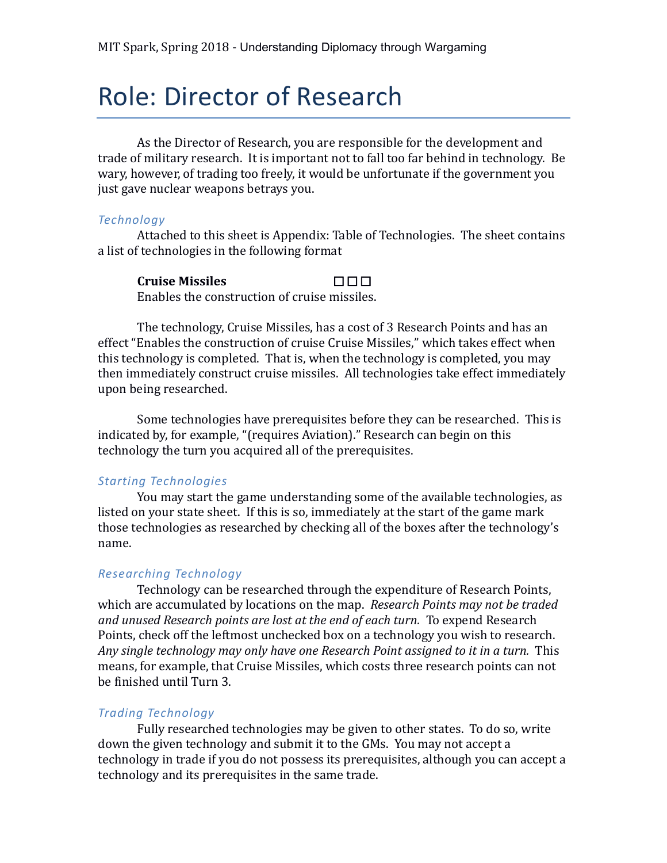# Role: Director of Research

As the Director of Research, you are responsible for the development and trade of military research. It is important not to fall too far behind in technology. Be wary, however, of trading too freely, it would be unfortunate if the government you just gave nuclear weapons betrays you.

#### *Technology*

Attached to this sheet is Appendix: Table of Technologies. The sheet contains a list of technologies in the following format

**Cruise Missiles** ☐ ☐ ☐ Enables the construction of cruise missiles.

The technology, Cruise Missiles, has a cost of 3 Research Points and has an effect "Enables the construction of cruise Cruise Missiles," which takes effect when this technology is completed. That is, when the technology is completed, you may then immediately construct cruise missiles. All technologies take effect immediately upon being researched.

Some technologies have prerequisites before they can be researched. This is indicated by, for example, "(requires Aviation)." Research can begin on this technology the turn you acquired all of the prerequisites.

#### *Starting Technologies*

You may start the game understanding some of the available technologies, as listed on your state sheet. If this is so, immediately at the start of the game mark those technologies as researched by checking all of the boxes after the technology's name.

#### *Researching Technology*

Technology can be researched through the expenditure of Research Points, which are accumulated by locations on the map. *Research Points may not be traded and unused Research points are lost at the end of each turn.* To expend Research Points, check off the leftmost unchecked box on a technology you wish to research. *Any single technology may only have one Research Point assigned to it in a turn.* This means, for example, that Cruise Missiles, which costs three research points can not be finished until Turn 3.

#### *Trading Technology*

Fully researched technologies may be given to other states. To do so, write down the given technology and submit it to the GMs. You may not accept a technology in trade if you do not possess its prerequisites, although you can accept a technology and its prerequisites in the same trade.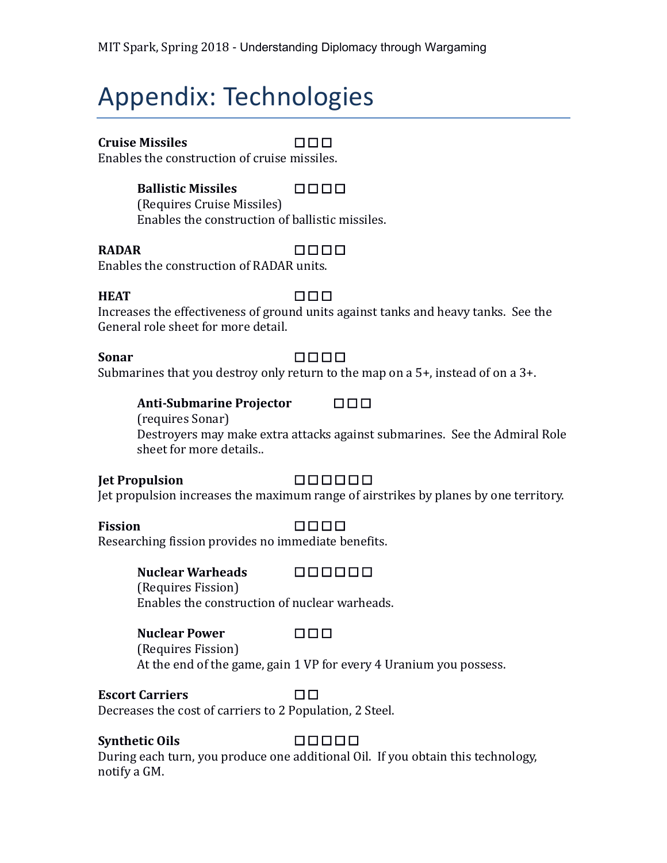# Appendix: Technologies

# **Cruise Missiles** ☐ ☐ ☐

Enables the construction of cruise missiles.

# **Ballistic Missiles** □□□□

(Requires Cruise Missiles) Enables the construction of ballistic missiles.

# **RADAR** ☐ ☐ ☐ ☐

Enables the construction of RADAR units.

# **HEAT** ☐ ☐ ☐

Increases the effectiveness of ground units against tanks and heavy tanks. See the General role sheet for more detail.

# Sonar <del>□ □ □□□</del>□

Submarines that you destroy only return to the map on a 5+, instead of on a 3+.

# **Anti-Submarine Projector** ☐ ☐ ☐

(requires Sonar)

Destroyers may make extra attacks against submarines. See the Admiral Role sheet for more details..

# **Jet Propulsion** ☐ ☐ ☐ ☐ ☐ ☐

Jet propulsion increases the maximum range of airstrikes by planes by one territory.

# **Fission** ☐ ☐ ☐ ☐

Researching fission provides no immediate benefits.

# **Nuclear Warheads** ☐ ☐ ☐ ☐ ☐ ☐

(Requires Fission) Enables the construction of nuclear warheads.

**Nuclear Power** □□□ (Requires Fission) At the end of the game, gain 1 VP for every 4 Uranium you possess.

# **Escort Carriers** ☐ ☐

Decreases the cost of carriers to 2 Population, 2 Steel.

# **Synthetic Oils** ☐ ☐ ☐ ☐ ☐

During each turn, you produce one additional Oil. If you obtain this technology, notify a GM.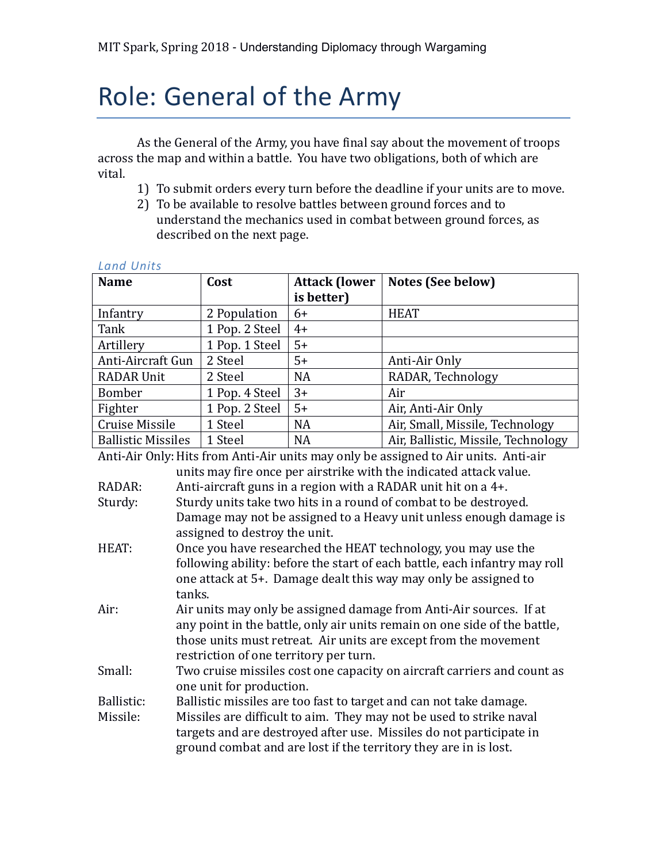# Role: General of the Army

As the General of the Army, you have final say about the movement of troops across the map and within a battle. You have two obligations, both of which are vital.

- 1) To submit orders every turn before the deadline if your units are to move.
- 2) To be available to resolve battles between ground forces and to understand the mechanics used in combat between ground forces, as described on the next page.

| <b>Name</b>                                                                         | Cost           | <b>Attack (lower</b> | <b>Notes (See below)</b>            |  |
|-------------------------------------------------------------------------------------|----------------|----------------------|-------------------------------------|--|
|                                                                                     |                | is better)           |                                     |  |
| Infantry                                                                            | 2 Population   | 6+                   | <b>HEAT</b>                         |  |
| Tank                                                                                | 1 Pop. 2 Steel | $4+$                 |                                     |  |
| Artillery                                                                           | 1 Pop. 1 Steel | $5+$                 |                                     |  |
| Anti-Aircraft Gun                                                                   | 2 Steel        | $5+$                 | Anti-Air Only                       |  |
| <b>RADAR Unit</b>                                                                   | 2 Steel        | <b>NA</b>            | RADAR, Technology                   |  |
| <b>Bomber</b>                                                                       | 1 Pop. 4 Steel | $3+$                 | Air                                 |  |
| Fighter                                                                             | 1 Pop. 2 Steel | $5+$                 | Air, Anti-Air Only                  |  |
| Cruise Missile                                                                      | 1 Steel        | <b>NA</b>            | Air, Small, Missile, Technology     |  |
| <b>Ballistic Missiles</b>                                                           | 1 Steel        | <b>NA</b>            | Air, Ballistic, Missile, Technology |  |
| Anti-Air Only: Hits from Anti-Air units may only be assigned to Air units. Anti-air |                |                      |                                     |  |

# *Land Units*

units may fire once per airstrike with the indicated attack value.

RADAR: Anti-aircraft guns in a region with a RADAR unit hit on a 4+.

| Sturdy: | Sturdy units take two hits in a round of combat to be destroyed.   |
|---------|--------------------------------------------------------------------|
|         | Damage may not be assigned to a Heavy unit unless enough damage is |
|         | assigned to destroy the unit.                                      |

HEAT: Once you have researched the HEAT technology, you may use the following ability: before the start of each battle, each infantry may roll one attack at 5+. Damage dealt this way may only be assigned to tanks.

Air: Air units may only be assigned damage from Anti-Air sources. If at any point in the battle, only air units remain on one side of the battle, those units must retreat. Air units are except from the movement restriction of one territory per turn.

Small: Two cruise missiles cost one capacity on aircraft carriers and count as one unit for production.

Ballistic: Ballistic missiles are too fast to target and can not take damage.

Missile: Missiles are difficult to aim. They may not be used to strike naval targets and are destroyed after use. Missiles do not participate in ground combat and are lost if the territory they are in is lost.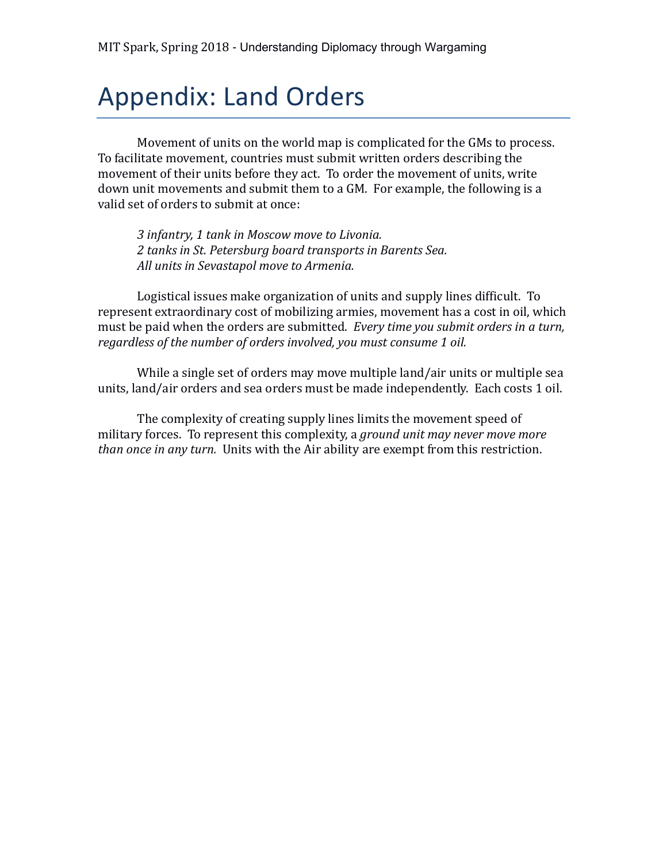# Appendix: Land Orders

Movement of units on the world map is complicated for the GMs to process. To facilitate movement, countries must submit written orders describing the movement of their units before they act. To order the movement of units, write down unit movements and submit them to a GM. For example, the following is a valid set of orders to submit at once:

*3 infantry, 1 tank in Moscow move to Livonia. 2 tanks in St. Petersburg board transports in Barents Sea. All units in Sevastapol move to Armenia.*

Logistical issues make organization of units and supply lines difficult. To represent extraordinary cost of mobilizing armies, movement has a cost in oil, which must be paid when the orders are submitted. *Every time you submit orders in a turn, regardless of the number of orders involved, you must consume 1 oil.*

While a single set of orders may move multiple land/air units or multiple sea units, land/air orders and sea orders must be made independently. Each costs 1 oil.

The complexity of creating supply lines limits the movement speed of military forces. To represent this complexity, a *ground unit may never move more than once in any turn.* Units with the Air ability are exempt from this restriction.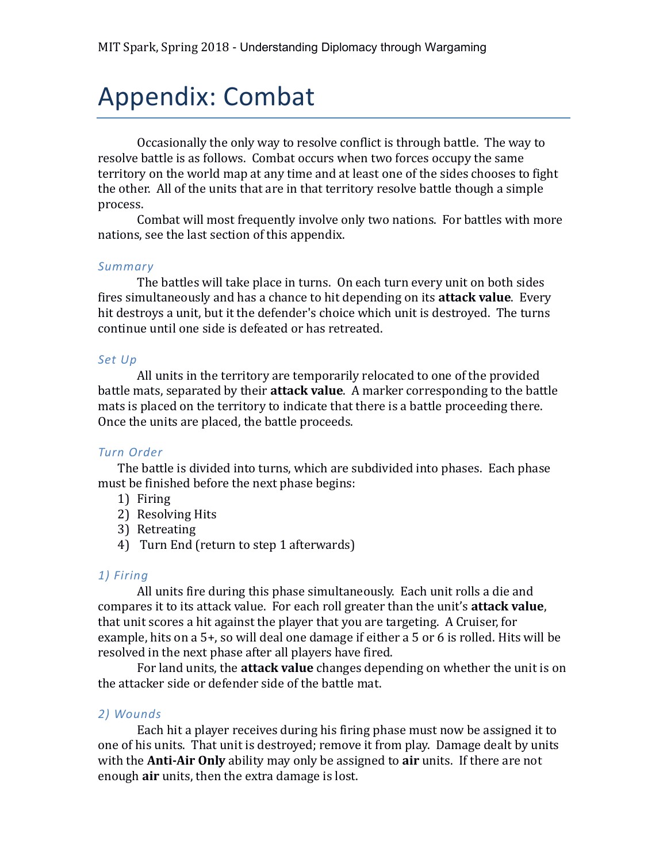# Appendix: Combat

Occasionally the only way to resolve conflict is through battle. The way to resolve battle is as follows. Combat occurs when two forces occupy the same territory on the world map at any time and at least one of the sides chooses to fight the other. All of the units that are in that territory resolve battle though a simple process.

Combat will most frequently involve only two nations. For battles with more nations, see the last section of this appendix.

### *Summary*

The battles will take place in turns. On each turn every unit on both sides fires simultaneously and has a chance to hit depending on its **attack value**. Every hit destroys a unit, but it the defender's choice which unit is destroyed. The turns continue until one side is defeated or has retreated.

## *Set Up*

All units in the territory are temporarily relocated to one of the provided battle mats, separated by their **attack value**. A marker corresponding to the battle mats is placed on the territory to indicate that there is a battle proceeding there. Once the units are placed, the battle proceeds.

### *Turn Order*

The battle is divided into turns, which are subdivided into phases. Each phase must be finished before the next phase begins:

- 1) Firing
- 2) Resolving Hits
- 3) Retreating
- 4) Turn End (return to step 1 afterwards)

### *1) Firing*

All units fire during this phase simultaneously. Each unit rolls a die and compares it to its attack value. For each roll greater than the unit's **attack value**, that unit scores a hit against the player that you are targeting. A Cruiser, for example, hits on a 5+, so will deal one damage if either a 5 or 6 is rolled. Hits will be resolved in the next phase after all players have fired.

For land units, the **attack value** changes depending on whether the unit is on the attacker side or defender side of the battle mat.

### *2) Wounds*

Each hit a player receives during his firing phase must now be assigned it to one of his units. That unit is destroyed; remove it from play. Damage dealt by units with the **Anti-Air Only** ability may only be assigned to **air** units. If there are not enough **air** units, then the extra damage is lost.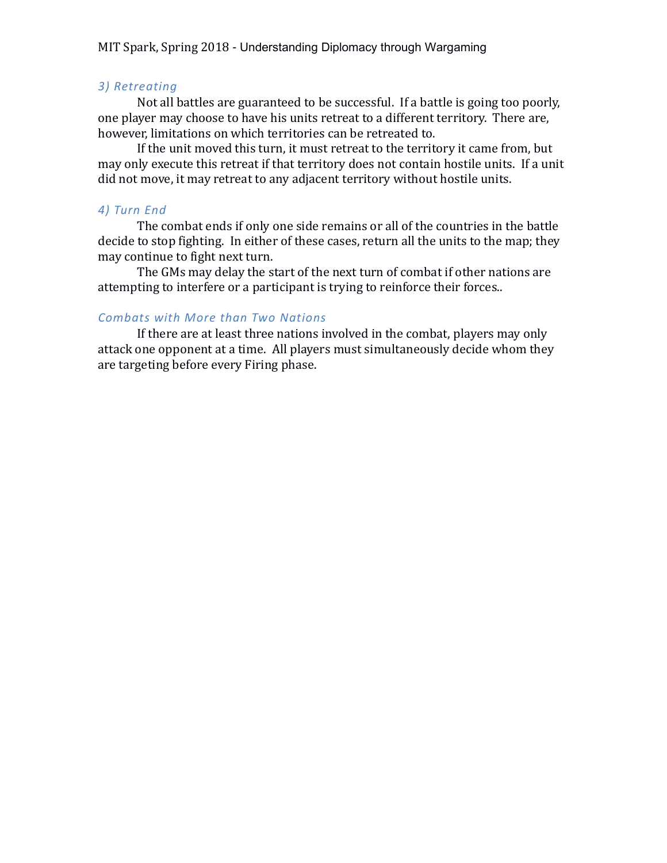# *3) Retreating*

Not all battles are guaranteed to be successful. If a battle is going too poorly, one player may choose to have his units retreat to a different territory. There are, however, limitations on which territories can be retreated to.

If the unit moved this turn, it must retreat to the territory it came from, but may only execute this retreat if that territory does not contain hostile units. If a unit did not move, it may retreat to any adjacent territory without hostile units.

# *4) Turn End*

The combat ends if only one side remains or all of the countries in the battle decide to stop fighting. In either of these cases, return all the units to the map; they may continue to fight next turn.

The GMs may delay the start of the next turn of combat if other nations are attempting to interfere or a participant is trying to reinforce their forces..

# *Combats with More than Two Nations*

If there are at least three nations involved in the combat, players may only attack one opponent at a time. All players must simultaneously decide whom they are targeting before every Firing phase.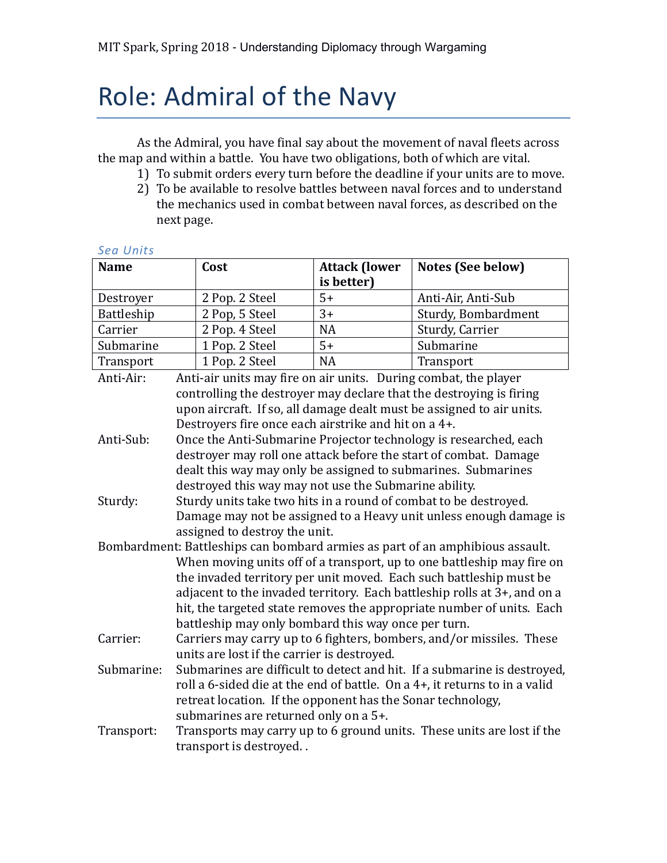# Role: Admiral of the Navy

As the Admiral, you have final say about the movement of naval fleets across the map and within a battle. You have two obligations, both of which are vital.

- 1) To submit orders every turn before the deadline if your units are to move.
- 2) To be available to resolve battles between naval forces and to understand the mechanics used in combat between naval forces, as described on the next page.

| <b>Name</b>                                                                   |                                                                            | Cost                                                            | <b>Attack (lower</b> | <b>Notes (See below)</b>                                                 |  |
|-------------------------------------------------------------------------------|----------------------------------------------------------------------------|-----------------------------------------------------------------|----------------------|--------------------------------------------------------------------------|--|
|                                                                               |                                                                            |                                                                 | is better)           |                                                                          |  |
| Destroyer                                                                     |                                                                            | 2 Pop. 2 Steel                                                  | $5+$                 | Anti-Air, Anti-Sub                                                       |  |
| Battleship                                                                    |                                                                            | 2 Pop, 5 Steel                                                  | $3+$                 | Sturdy, Bombardment                                                      |  |
| Carrier                                                                       |                                                                            | 2 Pop. 4 Steel                                                  | <b>NA</b>            | Sturdy, Carrier                                                          |  |
| Submarine                                                                     |                                                                            | 1 Pop. 2 Steel                                                  | $5+$                 | Submarine                                                                |  |
| Transport                                                                     |                                                                            | 1 Pop. 2 Steel                                                  | <b>NA</b>            | Transport                                                                |  |
| Anti-Air:                                                                     |                                                                            | Anti-air units may fire on air units. During combat, the player |                      |                                                                          |  |
|                                                                               |                                                                            |                                                                 |                      | controlling the destroyer may declare that the destroying is firing      |  |
|                                                                               |                                                                            |                                                                 |                      | upon aircraft. If so, all damage dealt must be assigned to air units.    |  |
|                                                                               |                                                                            | Destroyers fire once each airstrike and hit on a 4+.            |                      |                                                                          |  |
| Anti-Sub:                                                                     |                                                                            |                                                                 |                      | Once the Anti-Submarine Projector technology is researched, each         |  |
|                                                                               |                                                                            |                                                                 |                      | destroyer may roll one attack before the start of combat. Damage         |  |
|                                                                               |                                                                            |                                                                 |                      | dealt this way may only be assigned to submarines. Submarines            |  |
|                                                                               |                                                                            | destroyed this way may not use the Submarine ability.           |                      |                                                                          |  |
| Sturdy:                                                                       | Sturdy units take two hits in a round of combat to be destroyed.           |                                                                 |                      |                                                                          |  |
|                                                                               | Damage may not be assigned to a Heavy unit unless enough damage is         |                                                                 |                      |                                                                          |  |
|                                                                               |                                                                            | assigned to destroy the unit.                                   |                      |                                                                          |  |
| Bombardment: Battleships can bombard armies as part of an amphibious assault. |                                                                            |                                                                 |                      |                                                                          |  |
|                                                                               |                                                                            |                                                                 |                      | When moving units off of a transport, up to one battleship may fire on   |  |
|                                                                               |                                                                            |                                                                 |                      | the invaded territory per unit moved. Each such battleship must be       |  |
|                                                                               |                                                                            |                                                                 |                      | adjacent to the invaded territory. Each battleship rolls at 3+, and on a |  |
|                                                                               |                                                                            |                                                                 |                      | hit, the targeted state removes the appropriate number of units. Each    |  |
|                                                                               |                                                                            | battleship may only bombard this way once per turn.             |                      |                                                                          |  |
| Carrier:                                                                      |                                                                            |                                                                 |                      | Carriers may carry up to 6 fighters, bombers, and/or missiles. These     |  |
|                                                                               | units are lost if the carrier is destroyed.                                |                                                                 |                      |                                                                          |  |
| Submarine:                                                                    | Submarines are difficult to detect and hit. If a submarine is destroyed,   |                                                                 |                      |                                                                          |  |
|                                                                               | roll a 6-sided die at the end of battle. On a 4+, it returns to in a valid |                                                                 |                      |                                                                          |  |
|                                                                               | retreat location. If the opponent has the Sonar technology,                |                                                                 |                      |                                                                          |  |
|                                                                               |                                                                            | submarines are returned only on a 5+.                           |                      |                                                                          |  |
| Transport:                                                                    | Transports may carry up to 6 ground units. These units are lost if the     |                                                                 |                      |                                                                          |  |
|                                                                               |                                                                            | transport is destroyed                                          |                      |                                                                          |  |

#### *Sea Units*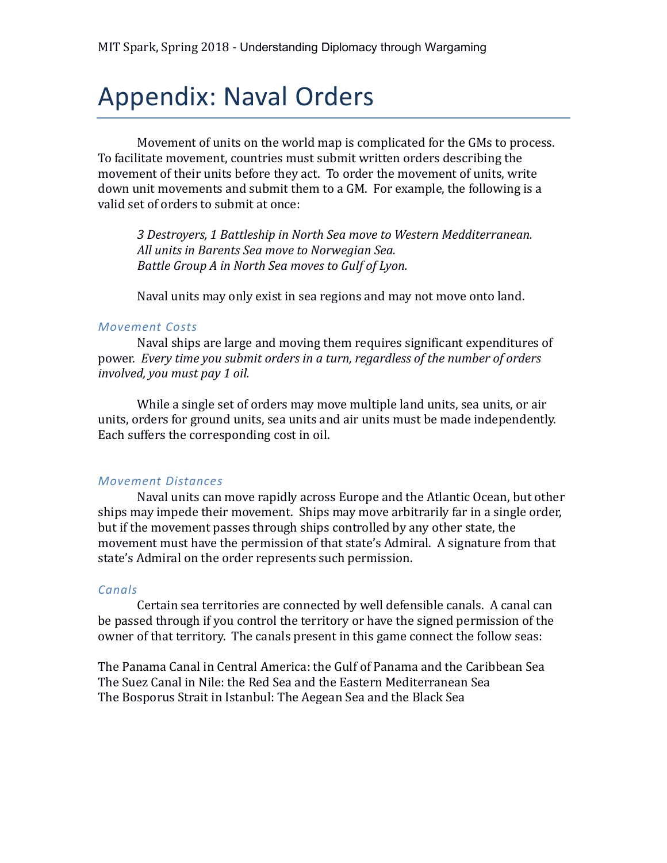# Appendix: Naval Orders

Movement of units on the world map is complicated for the GMs to process. To facilitate movement, countries must submit written orders describing the movement of their units before they act. To order the movement of units, write down unit movements and submit them to a GM. For example, the following is a valid set of orders to submit at once:

*3 Destroyers, 1 Battleship in North Sea move to Western Medditerranean. All units in Barents Sea move to Norwegian Sea. Battle Group A in North Sea moves to Gulf of Lyon.*

Naval units may only exist in sea regions and may not move onto land.

#### *Movement Costs*

Naval ships are large and moving them requires significant expenditures of power. *Every time you submit orders in a turn, regardless of the number of orders involved, you must pay 1 oil.*

While a single set of orders may move multiple land units, sea units, or air units, orders for ground units, sea units and air units must be made independently. Each suffers the corresponding cost in oil.

### *Movement Distances*

Naval units can move rapidly across Europe and the Atlantic Ocean, but other ships may impede their movement. Ships may move arbitrarily far in a single order, but if the movement passes through ships controlled by any other state, the movement must have the permission of that state's Admiral. A signature from that state's Admiral on the order represents such permission.

### *Canals*

Certain sea territories are connected by well defensible canals. A canal can be passed through if you control the territory or have the signed permission of the owner of that territory. The canals present in this game connect the follow seas:

The Panama Canal in Central America: the Gulf of Panama and the Caribbean Sea The Suez Canal in Nile: the Red Sea and the Eastern Mediterranean Sea The Bosporus Strait in Istanbul: The Aegean Sea and the Black Sea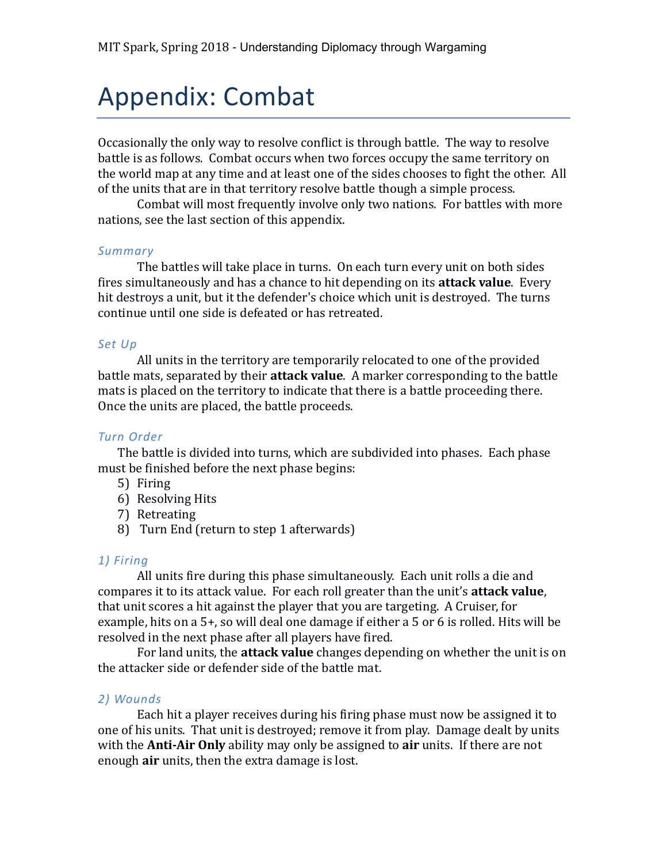# Appendix: Combat

Occasionally the only way to resolve conflict is through battle. The way to resolve battle is as follows. Combat occurs when two forces occupy the same territory on the world map at any time and at least one of the sides chooses to fight the other. All of the units that are in that territory resolve battle though a simple process.

Combat will most frequently involve only two nations. For battles with more nations, see the last section of this appendix.

#### *Summary*

The battles will take place in turns. On each turn every unit on both sides fires simultaneously and has a chance to hit depending on its **attack value**. Every hit destroys a unit, but it the defender's choice which unit is destroyed. The turns continue until one side is defeated or has retreated.

#### *Set Up*

All units in the territory are temporarily relocated to one of the provided battle mats, separated by their **attack value**. A marker corresponding to the battle mats is placed on the territory to indicate that there is a battle proceeding there. Once the units are placed, the battle proceeds.

### *Turn Order*

The battle is divided into turns, which are subdivided into phases. Each phase must be finished before the next phase begins:

- 5) Firing
- 6) Resolving Hits
- 7) Retreating
- 8) Turn End (return to step 1 afterwards)

### *1) Firing*

All units fire during this phase simultaneously. Each unit rolls a die and compares it to its attack value. For each roll greater than the unit's **attack value**, that unit scores a hit against the player that you are targeting. A Cruiser, for example, hits on a 5+, so will deal one damage if either a 5 or 6 is rolled. Hits will be resolved in the next phase after all players have fired.

For land units, the **attack value** changes depending on whether the unit is on the attacker side or defender side of the battle mat.

### *2) Wounds*

Each hit a player receives during his firing phase must now be assigned it to one of his units. That unit is destroyed; remove it from play. Damage dealt by units with the **Anti-Air Only** ability may only be assigned to **air** units. If there are not enough **air** units, then the extra damage is lost.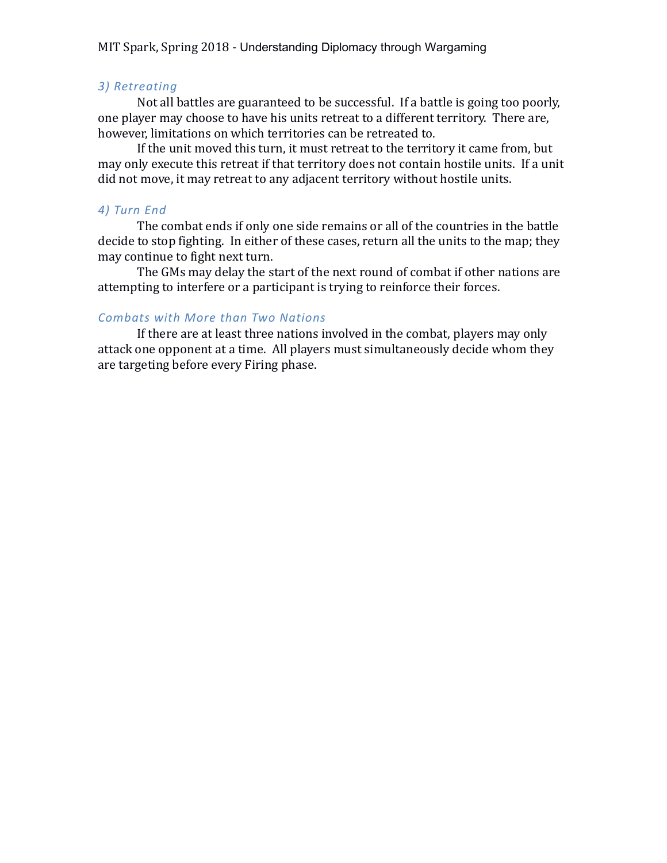# *3) Retreating*

Not all battles are guaranteed to be successful. If a battle is going too poorly, one player may choose to have his units retreat to a different territory. There are, however, limitations on which territories can be retreated to.

If the unit moved this turn, it must retreat to the territory it came from, but may only execute this retreat if that territory does not contain hostile units. If a unit did not move, it may retreat to any adjacent territory without hostile units.

# *4) Turn End*

The combat ends if only one side remains or all of the countries in the battle decide to stop fighting. In either of these cases, return all the units to the map; they may continue to fight next turn.

The GMs may delay the start of the next round of combat if other nations are attempting to interfere or a participant is trying to reinforce their forces.

# *Combats with More than Two Nations*

If there are at least three nations involved in the combat, players may only attack one opponent at a time. All players must simultaneously decide whom they are targeting before every Firing phase.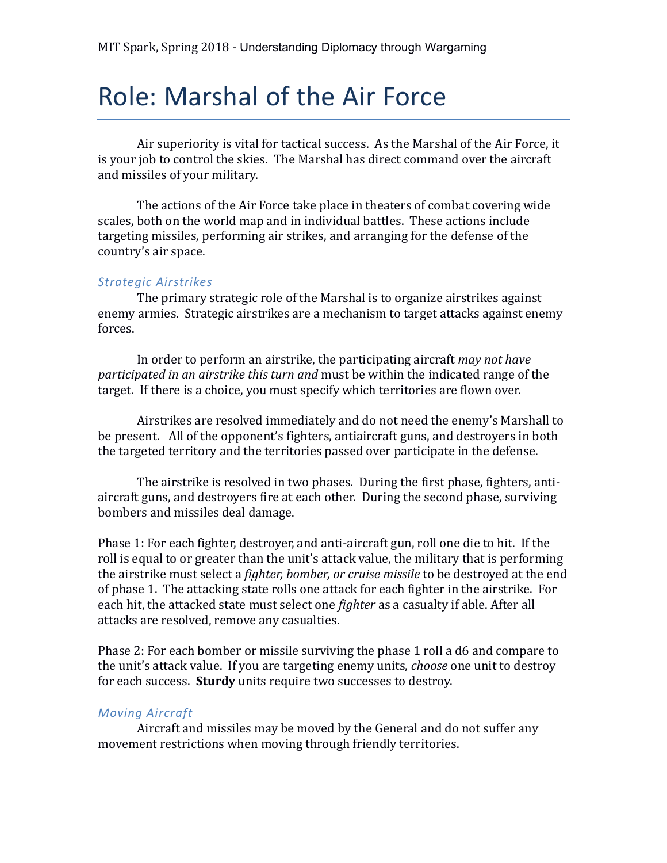# Role: Marshal of the Air Force

Air superiority is vital for tactical success. As the Marshal of the Air Force, it is your job to control the skies. The Marshal has direct command over the aircraft and missiles of your military.

The actions of the Air Force take place in theaters of combat covering wide scales, both on the world map and in individual battles. These actions include targeting missiles, performing air strikes, and arranging for the defense of the country's air space.

#### *Strategic Airstrikes*

The primary strategic role of the Marshal is to organize airstrikes against enemy armies. Strategic airstrikes are a mechanism to target attacks against enemy forces.

In order to perform an airstrike, the participating aircraft *may not have participated in an airstrike this turn and* must be within the indicated range of the target. If there is a choice, you must specify which territories are flown over.

Airstrikes are resolved immediately and do not need the enemy's Marshall to be present. All of the opponent's fighters, antiaircraft guns, and destroyers in both the targeted territory and the territories passed over participate in the defense.

The airstrike is resolved in two phases. During the first phase, fighters, antiaircraft guns, and destroyers fire at each other. During the second phase, surviving bombers and missiles deal damage.

Phase 1: For each fighter, destroyer, and anti-aircraft gun, roll one die to hit. If the roll is equal to or greater than the unit's attack value, the military that is performing the airstrike must select a *fighter, bomber, or cruise missile* to be destroyed at the end of phase 1. The attacking state rolls one attack for each fighter in the airstrike. For each hit, the attacked state must select one *fighter* as a casualty if able. After all attacks are resolved, remove any casualties.

Phase 2: For each bomber or missile surviving the phase 1 roll a d6 and compare to the unit's attack value. If you are targeting enemy units, *choose* one unit to destroy for each success. **Sturdy** units require two successes to destroy.

#### *Moving Aircraft*

Aircraft and missiles may be moved by the General and do not suffer any movement restrictions when moving through friendly territories.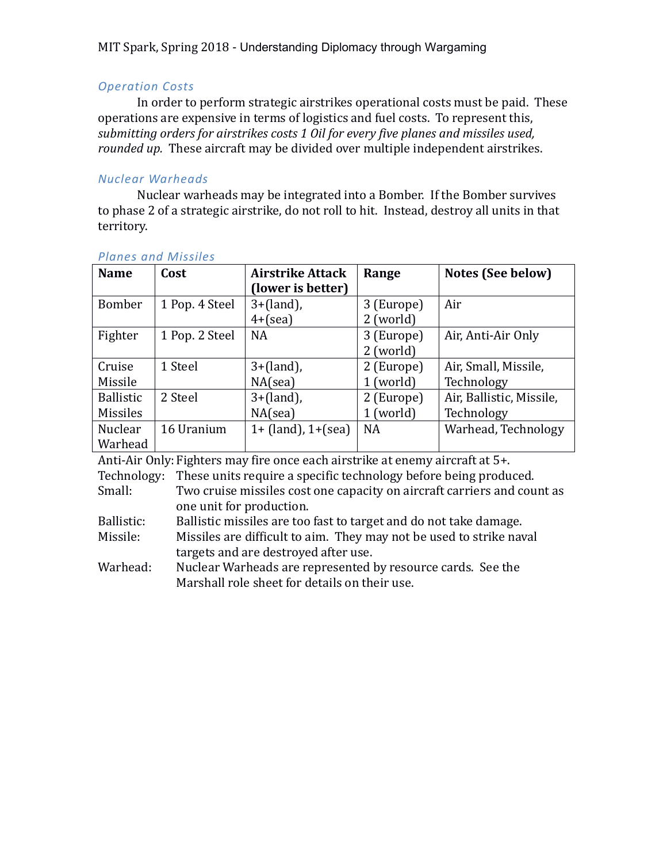MIT Spark, Spring 2018 - Understanding Diplomacy through Wargaming

# *Operation Costs*

In order to perform strategic airstrikes operational costs must be paid. These operations are expensive in terms of logistics and fuel costs. To represent this, *submitting orders for airstrikes costs 1 Oil for every five planes and missiles used, rounded up.* These aircraft may be divided over multiple independent airstrikes.

# *Nuclear Warheads*

Nuclear warheads may be integrated into a Bomber. If the Bomber survives to phase 2 of a strategic airstrike, do not roll to hit. Instead, destroy all units in that territory.

| <b>Name</b>      | Cost           | <b>Airstrike Attack</b> | Range       | <b>Notes (See below)</b> |
|------------------|----------------|-------------------------|-------------|--------------------------|
|                  |                | (lower is better)       |             |                          |
|                  |                |                         |             |                          |
| Bomber           | 1 Pop. 4 Steel | $3+(land)$ ,            | 3 (Europe)  | Air                      |
|                  |                | $4+(sea)$               | $2$ (world) |                          |
| Fighter          | 1 Pop. 2 Steel | <b>NA</b>               | 3 (Europe)  | Air, Anti-Air Only       |
|                  |                |                         | $2$ (world) |                          |
| Cruise           | 1 Steel        | $3+(land)$ ,            | 2 (Europe)  | Air, Small, Missile,     |
| Missile          |                | $NA$ (sea)              | (world)     | Technology               |
| <b>Ballistic</b> | 2 Steel        | $3+(land)$ ,            | 2 (Europe)  | Air, Ballistic, Missile, |
| <b>Missiles</b>  |                | $NA$ (sea)              | $1$ (world) | Technology               |
| Nuclear          | 16 Uranium     | $1 + (land), 1 + (sea)$ | <b>NA</b>   | Warhead, Technology      |
| Warhead          |                |                         |             |                          |

#### *Planes and Missiles*

Anti-Air Only: Fighters may fire once each airstrike at enemy aircraft at 5+.

Technology: These units require a specific technology before being produced.

Small: Two cruise missiles cost one capacity on aircraft carriers and count as one unit for production.

Ballistic: Ballistic missiles are too fast to target and do not take damage.

Missile: Missiles are difficult to aim. They may not be used to strike naval targets and are destroyed after use.

Warhead: Nuclear Warheads are represented by resource cards. See the Marshall role sheet for details on their use.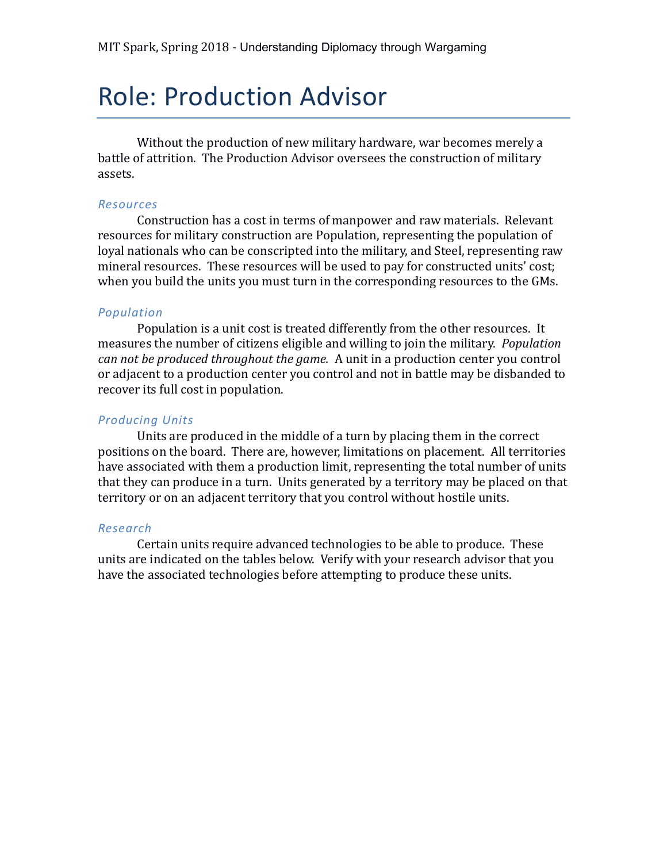# Role: Production Advisor

Without the production of new military hardware, war becomes merely a battle of attrition. The Production Advisor oversees the construction of military assets.

#### *Resources*

Construction has a cost in terms of manpower and raw materials. Relevant resources for military construction are Population, representing the population of loyal nationals who can be conscripted into the military, and Steel, representing raw mineral resources. These resources will be used to pay for constructed units' cost; when you build the units you must turn in the corresponding resources to the GMs.

#### *Population*

Population is a unit cost is treated differently from the other resources. It measures the number of citizens eligible and willing to join the military. *Population can not be produced throughout the game.* A unit in a production center you control or adjacent to a production center you control and not in battle may be disbanded to recover its full cost in population.

#### *Producing Units*

Units are produced in the middle of a turn by placing them in the correct positions on the board. There are, however, limitations on placement. All territories have associated with them a production limit, representing the total number of units that they can produce in a turn. Units generated by a territory may be placed on that territory or on an adjacent territory that you control without hostile units.

#### *Research*

Certain units require advanced technologies to be able to produce. These units are indicated on the tables below. Verify with your research advisor that you have the associated technologies before attempting to produce these units.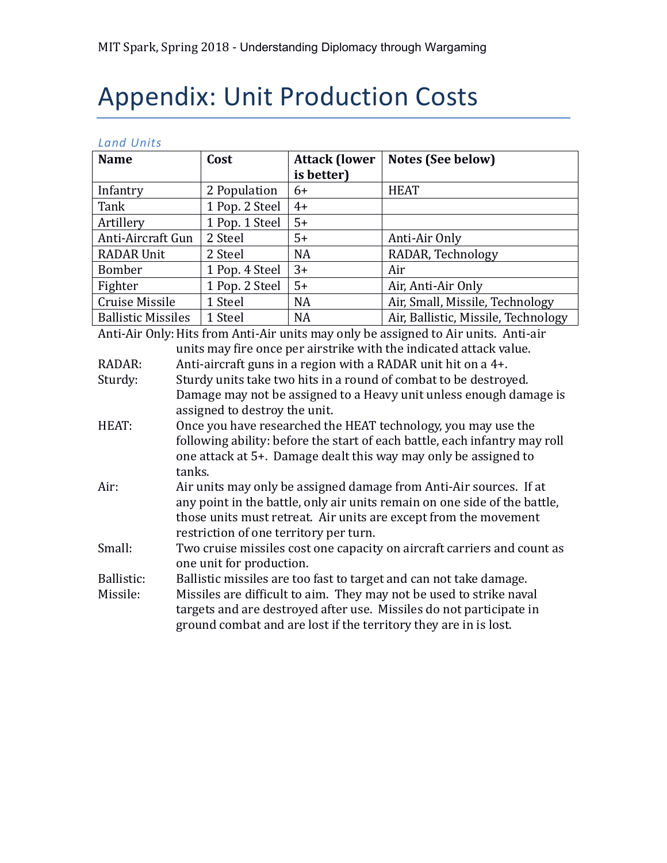# Appendix: Unit Production Costs

| <b>Land Units</b>         |                                                                         |                               |                                    |                                                                                     |
|---------------------------|-------------------------------------------------------------------------|-------------------------------|------------------------------------|-------------------------------------------------------------------------------------|
| <b>Name</b>               |                                                                         | Cost                          | <b>Attack (lower</b><br>is better) | <b>Notes (See below)</b>                                                            |
| Infantry                  |                                                                         | 2 Population                  | $6+$                               | <b>HEAT</b>                                                                         |
| Tank                      |                                                                         | 1 Pop. 2 Steel                | $4+$                               |                                                                                     |
| Artillery                 |                                                                         | 1 Pop. 1 Steel                | $5+$                               |                                                                                     |
| Anti-Aircraft Gun         |                                                                         | 2 Steel                       | $5+$                               | Anti-Air Only                                                                       |
| <b>RADAR Unit</b>         |                                                                         | 2 Steel                       | <b>NA</b>                          | RADAR, Technology                                                                   |
| <b>Bomber</b>             |                                                                         | 1 Pop. 4 Steel                | $3+$                               | Air                                                                                 |
| Fighter                   |                                                                         | 1 Pop. 2 Steel                | $5+$                               | Air, Anti-Air Only                                                                  |
| <b>Cruise Missile</b>     |                                                                         | 1 Steel                       | <b>NA</b>                          | Air, Small, Missile, Technology                                                     |
| <b>Ballistic Missiles</b> |                                                                         | 1 Steel                       | NA                                 | Air, Ballistic, Missile, Technology                                                 |
|                           |                                                                         |                               |                                    | Anti-Air Only: Hits from Anti-Air units may only be assigned to Air units. Anti-air |
|                           |                                                                         |                               |                                    | units may fire once per airstrike with the indicated attack value.                  |
| RADAR:                    |                                                                         |                               |                                    | Anti-aircraft guns in a region with a RADAR unit hit on a 4+.                       |
| Sturdy:                   |                                                                         |                               |                                    | Sturdy units take two hits in a round of combat to be destroyed.                    |
|                           |                                                                         |                               |                                    | Damage may not be assigned to a Heavy unit unless enough damage is                  |
|                           |                                                                         | assigned to destroy the unit. |                                    |                                                                                     |
| HEAT:                     |                                                                         |                               |                                    | Once you have researched the HEAT technology, you may use the                       |
|                           |                                                                         |                               |                                    | following ability: before the start of each battle, each infantry may roll          |
|                           |                                                                         |                               |                                    | one attack at 5+. Damage dealt this way may only be assigned to                     |
|                           | tanks.                                                                  |                               |                                    |                                                                                     |
| Air:                      |                                                                         |                               |                                    | Air units may only be assigned damage from Anti-Air sources. If at                  |
|                           |                                                                         |                               |                                    | any point in the battle, only air units remain on one side of the battle,           |
|                           |                                                                         |                               |                                    | those units must retreat. Air units are except from the movement                    |
|                           | restriction of one territory per turn.                                  |                               |                                    |                                                                                     |
| Small:                    | Two cruise missiles cost one capacity on aircraft carriers and count as |                               |                                    |                                                                                     |
|                           | one unit for production.                                                |                               |                                    |                                                                                     |
| Ballistic:                | Ballistic missiles are too fast to target and can not take damage.      |                               |                                    |                                                                                     |
| Missile:                  |                                                                         |                               |                                    | Missiles are difficult to aim. They may not be used to strike naval                 |
|                           | targets and are destroyed after use. Missiles do not participate in     |                               |                                    |                                                                                     |
|                           | ground combat and are lost if the territory they are in is lost.        |                               |                                    |                                                                                     |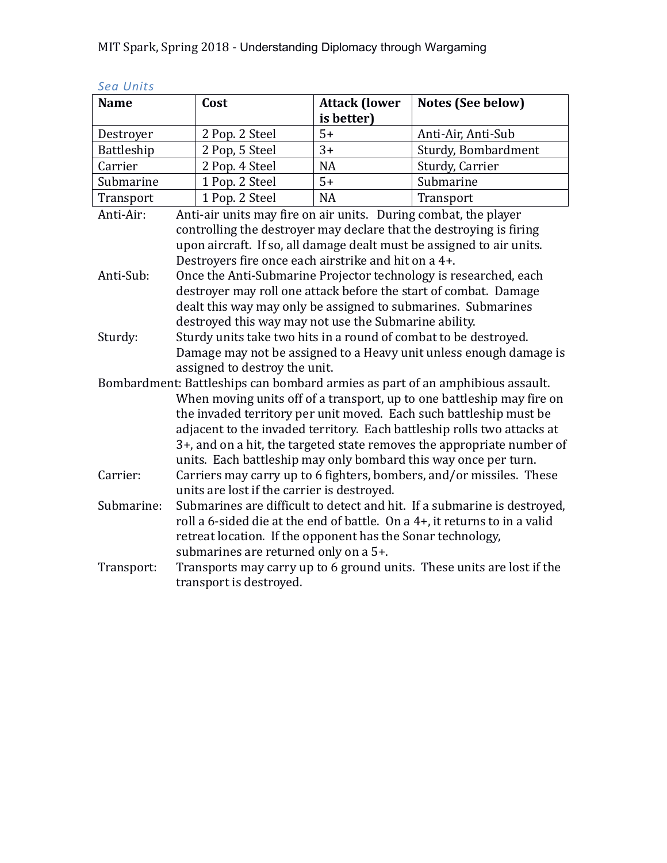MIT Spark, Spring 2018 - Understanding Diplomacy through Wargaming

| <b>Name</b>                                                                   |                                                                            | Cost                                                            | <b>Attack (lower</b><br>is better) | <b>Notes (See below)</b>                                               |
|-------------------------------------------------------------------------------|----------------------------------------------------------------------------|-----------------------------------------------------------------|------------------------------------|------------------------------------------------------------------------|
| Destroyer                                                                     |                                                                            | 2 Pop. 2 Steel                                                  | $5+$                               | Anti-Air, Anti-Sub                                                     |
| Battleship                                                                    |                                                                            | 2 Pop, 5 Steel                                                  | $3+$                               | Sturdy, Bombardment                                                    |
| Carrier                                                                       |                                                                            | 2 Pop. 4 Steel                                                  | <b>NA</b>                          | Sturdy, Carrier                                                        |
| Submarine                                                                     |                                                                            | 1 Pop. 2 Steel                                                  | $5+$                               | Submarine                                                              |
| Transport                                                                     |                                                                            | 1 Pop. 2 Steel                                                  | <b>NA</b>                          | Transport                                                              |
| Anti-Air:                                                                     |                                                                            | Anti-air units may fire on air units. During combat, the player |                                    |                                                                        |
|                                                                               |                                                                            |                                                                 |                                    | controlling the destroyer may declare that the destroying is firing    |
|                                                                               |                                                                            |                                                                 |                                    | upon aircraft. If so, all damage dealt must be assigned to air units.  |
|                                                                               |                                                                            | Destroyers fire once each airstrike and hit on a 4+.            |                                    |                                                                        |
| Anti-Sub:                                                                     |                                                                            |                                                                 |                                    | Once the Anti-Submarine Projector technology is researched, each       |
|                                                                               |                                                                            |                                                                 |                                    | destroyer may roll one attack before the start of combat. Damage       |
|                                                                               |                                                                            |                                                                 |                                    | dealt this way may only be assigned to submarines. Submarines          |
|                                                                               |                                                                            | destroyed this way may not use the Submarine ability.           |                                    |                                                                        |
| Sturdy:                                                                       |                                                                            |                                                                 |                                    | Sturdy units take two hits in a round of combat to be destroyed.       |
|                                                                               | Damage may not be assigned to a Heavy unit unless enough damage is         |                                                                 |                                    |                                                                        |
|                                                                               |                                                                            | assigned to destroy the unit.                                   |                                    |                                                                        |
| Bombardment: Battleships can bombard armies as part of an amphibious assault. |                                                                            |                                                                 |                                    |                                                                        |
|                                                                               |                                                                            |                                                                 |                                    | When moving units off of a transport, up to one battleship may fire on |
|                                                                               | the invaded territory per unit moved. Each such battleship must be         |                                                                 |                                    |                                                                        |
|                                                                               | adjacent to the invaded territory. Each battleship rolls two attacks at    |                                                                 |                                    |                                                                        |
|                                                                               | 3+, and on a hit, the targeted state removes the appropriate number of     |                                                                 |                                    |                                                                        |
|                                                                               |                                                                            |                                                                 |                                    | units. Each battleship may only bombard this way once per turn.        |
| Carrier:                                                                      |                                                                            |                                                                 |                                    | Carriers may carry up to 6 fighters, bombers, and/or missiles. These   |
|                                                                               | units are lost if the carrier is destroyed.                                |                                                                 |                                    |                                                                        |
| Submarine:                                                                    | Submarines are difficult to detect and hit. If a submarine is destroyed,   |                                                                 |                                    |                                                                        |
|                                                                               | roll a 6-sided die at the end of battle. On a 4+, it returns to in a valid |                                                                 |                                    |                                                                        |
|                                                                               | retreat location. If the opponent has the Sonar technology,                |                                                                 |                                    |                                                                        |
|                                                                               |                                                                            | submarines are returned only on a 5+.                           |                                    |                                                                        |
| Transport:                                                                    | Transports may carry up to 6 ground units. These units are lost if the     |                                                                 |                                    |                                                                        |
|                                                                               |                                                                            | transport is destroyed.                                         |                                    |                                                                        |

| Sea Units |  |  |
|-----------|--|--|
|           |  |  |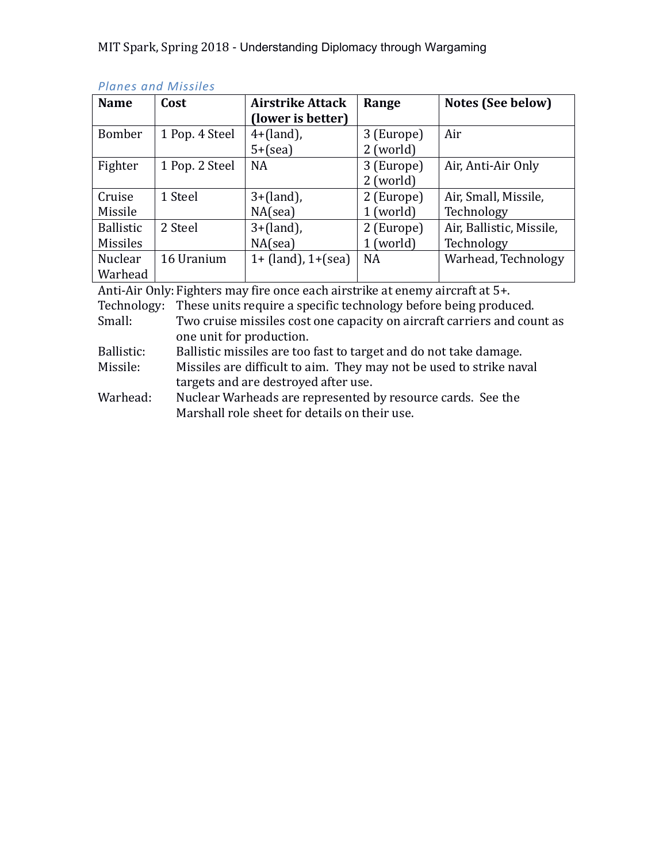| <b>Name</b>      | Cost           | <b>Airstrike Attack</b> | Range       | Notes (See below)        |
|------------------|----------------|-------------------------|-------------|--------------------------|
|                  |                | (lower is better)       |             |                          |
| Bomber           | 1 Pop. 4 Steel | $4+(land)$ ,            | 3 (Europe)  | Air                      |
|                  |                | $5+(sea)$               | $2$ (world) |                          |
| Fighter          | 1 Pop. 2 Steel | <b>NA</b>               | 3 (Europe)  | Air, Anti-Air Only       |
|                  |                |                         | $2$ (world) |                          |
| Cruise           | 1 Steel        | $3 + (land)$ ,          | 2 (Europe)  | Air, Small, Missile,     |
| Missile          |                | $NA$ (sea)              | (world)     | Technology               |
| <b>Ballistic</b> | 2 Steel        | $3+(land)$ ,            | 2 (Europe)  | Air, Ballistic, Missile, |
| <b>Missiles</b>  |                | $NA$ (sea)              | (world)     | Technology               |
| Nuclear          | 16 Uranium     | $1 + (land), 1 + (sea)$ | <b>NA</b>   | Warhead, Technology      |
| Warhead          |                |                         |             |                          |

# *Planes and Missiles*

Anti-Air Only: Fighters may fire once each airstrike at enemy aircraft at 5+.

Technology: These units require a specific technology before being produced.

Small: Two cruise missiles cost one capacity on aircraft carriers and count as one unit for production.

Ballistic: Ballistic missiles are too fast to target and do not take damage.

Missile: Missiles are difficult to aim. They may not be used to strike naval targets and are destroyed after use.

Warhead: Nuclear Warheads are represented by resource cards. See the Marshall role sheet for details on their use.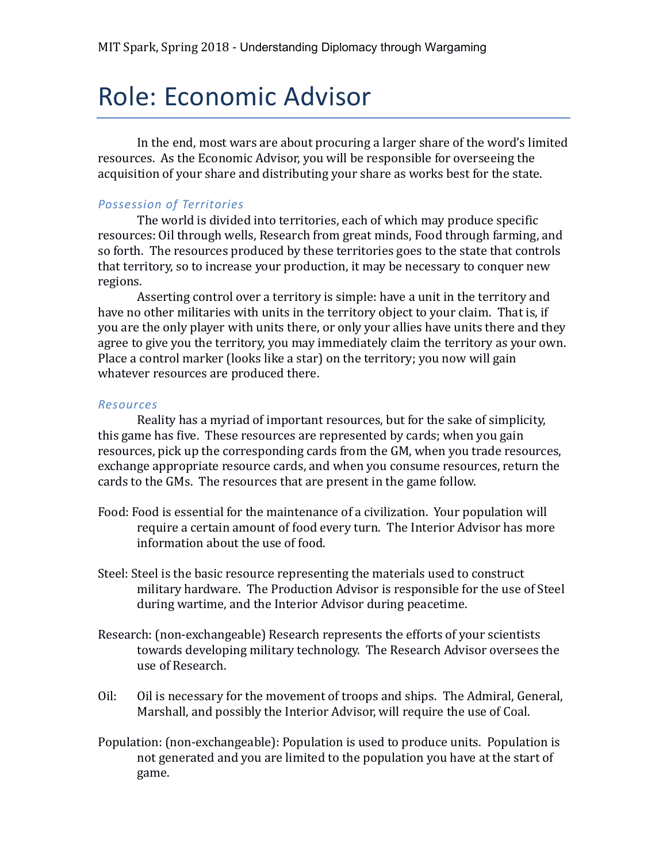# Role: Economic Advisor

In the end, most wars are about procuring a larger share of the word's limited resources. As the Economic Advisor, you will be responsible for overseeing the acquisition of your share and distributing your share as works best for the state.

#### *Possession of Territories*

The world is divided into territories, each of which may produce specific resources: Oil through wells, Research from great minds, Food through farming, and so forth. The resources produced by these territories goes to the state that controls that territory, so to increase your production, it may be necessary to conquer new regions.

Asserting control over a territory is simple: have a unit in the territory and have no other militaries with units in the territory object to your claim. That is, if you are the only player with units there, or only your allies have units there and they agree to give you the territory, you may immediately claim the territory as your own. Place a control marker (looks like a star) on the territory; you now will gain whatever resources are produced there.

#### *Resources*

Reality has a myriad of important resources, but for the sake of simplicity, this game has five. These resources are represented by cards; when you gain resources, pick up the corresponding cards from the GM, when you trade resources, exchange appropriate resource cards, and when you consume resources, return the cards to the GMs. The resources that are present in the game follow.

- Food: Food is essential for the maintenance of a civilization. Your population will require a certain amount of food every turn. The Interior Advisor has more information about the use of food.
- Steel: Steel is the basic resource representing the materials used to construct military hardware. The Production Advisor is responsible for the use of Steel during wartime, and the Interior Advisor during peacetime.
- Research: (non-exchangeable) Research represents the efforts of your scientists towards developing military technology. The Research Advisor oversees the use of Research.
- Oil: Oil is necessary for the movement of troops and ships. The Admiral, General, Marshall, and possibly the Interior Advisor, will require the use of Coal.
- Population: (non-exchangeable): Population is used to produce units. Population is not generated and you are limited to the population you have at the start of game.